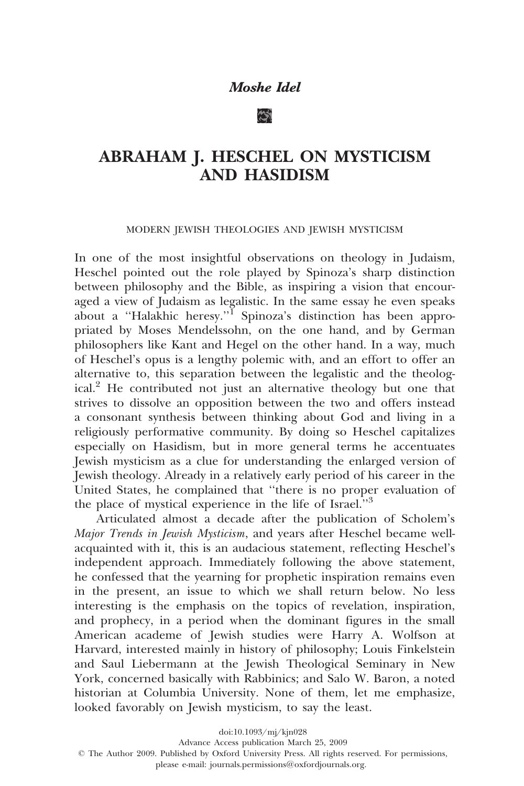# Moshe Idel

# أثلثة

# ABRAHAM J. HESCHEL ON MYSTICISM AND HASIDISM

### MODERN JEWISH THEOLOGIES AND JEWISH MYSTICISM

In one of the most insightful observations on theology in Judaism, Heschel pointed out the role played by Spinoza's sharp distinction between philosophy and the Bible, as inspiring a vision that encouraged a view of Judaism as legalistic. In the same essay he even speaks about a ''Halakhic heresy.''<sup>1</sup> Spinoza's distinction has been appropriated by Moses Mendelssohn, on the one hand, and by German philosophers like Kant and Hegel on the other hand. In a way, much of Heschel's opus is a lengthy polemic with, and an effort to offer an alternative to, this separation between the legalistic and the theological.2 He contributed not just an alternative theology but one that strives to dissolve an opposition between the two and offers instead a consonant synthesis between thinking about God and living in a religiously performative community. By doing so Heschel capitalizes especially on Hasidism, but in more general terms he accentuates Jewish mysticism as a clue for understanding the enlarged version of Jewish theology. Already in a relatively early period of his career in the United States, he complained that ''there is no proper evaluation of the place of mystical experience in the life of Israel.''<sup>3</sup>

Articulated almost a decade after the publication of Scholem's Major Trends in Jewish Mysticism, and years after Heschel became wellacquainted with it, this is an audacious statement, reflecting Heschel's independent approach. Immediately following the above statement, he confessed that the yearning for prophetic inspiration remains even in the present, an issue to which we shall return below. No less interesting is the emphasis on the topics of revelation, inspiration, and prophecy, in a period when the dominant figures in the small American academe of Jewish studies were Harry A. Wolfson at Harvard, interested mainly in history of philosophy; Louis Finkelstein and Saul Liebermann at the Jewish Theological Seminary in New York, concerned basically with Rabbinics; and Salo W. Baron, a noted historian at Columbia University. None of them, let me emphasize, looked favorably on Jewish mysticism, to say the least.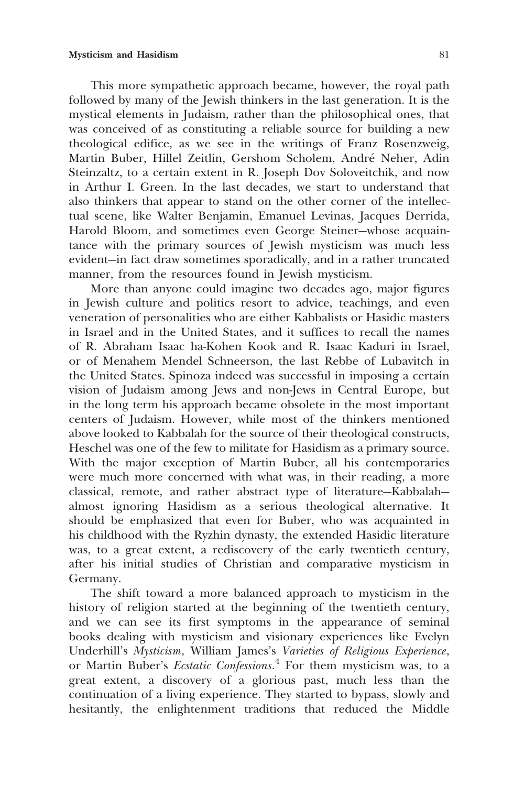#### Mysticism and Hasidism 81

This more sympathetic approach became, however, the royal path followed by many of the Jewish thinkers in the last generation. It is the mystical elements in Judaism, rather than the philosophical ones, that was conceived of as constituting a reliable source for building a new theological edifice, as we see in the writings of Franz Rosenzweig, Martin Buber, Hillel Zeitlin, Gershom Scholem, Andre´ Neher, Adin Steinzaltz, to a certain extent in R. Joseph Dov Soloveitchik, and now in Arthur I. Green. In the last decades, we start to understand that also thinkers that appear to stand on the other corner of the intellectual scene, like Walter Benjamin, Emanuel Levinas, Jacques Derrida, Harold Bloom, and sometimes even George Steiner—whose acquaintance with the primary sources of Jewish mysticism was much less evident—in fact draw sometimes sporadically, and in a rather truncated manner, from the resources found in Jewish mysticism.

More than anyone could imagine two decades ago, major figures in Jewish culture and politics resort to advice, teachings, and even veneration of personalities who are either Kabbalists or Hasidic masters in Israel and in the United States, and it suffices to recall the names of R. Abraham Isaac ha-Kohen Kook and R. Isaac Kaduri in Israel, or of Menahem Mendel Schneerson, the last Rebbe of Lubavitch in the United States. Spinoza indeed was successful in imposing a certain vision of Judaism among Jews and non-Jews in Central Europe, but in the long term his approach became obsolete in the most important centers of Judaism. However, while most of the thinkers mentioned above looked to Kabbalah for the source of their theological constructs, Heschel was one of the few to militate for Hasidism as a primary source. With the major exception of Martin Buber, all his contemporaries were much more concerned with what was, in their reading, a more classical, remote, and rather abstract type of literature—Kabbalah almost ignoring Hasidism as a serious theological alternative. It should be emphasized that even for Buber, who was acquainted in his childhood with the Ryzhin dynasty, the extended Hasidic literature was, to a great extent, a rediscovery of the early twentieth century, after his initial studies of Christian and comparative mysticism in Germany.

The shift toward a more balanced approach to mysticism in the history of religion started at the beginning of the twentieth century, and we can see its first symptoms in the appearance of seminal books dealing with mysticism and visionary experiences like Evelyn Underhill's Mysticism, William James's Varieties of Religious Experience, or Martin Buber's Ecstatic Confessions.<sup>4</sup> For them mysticism was, to a great extent, a discovery of a glorious past, much less than the continuation of a living experience. They started to bypass, slowly and hesitantly, the enlightenment traditions that reduced the Middle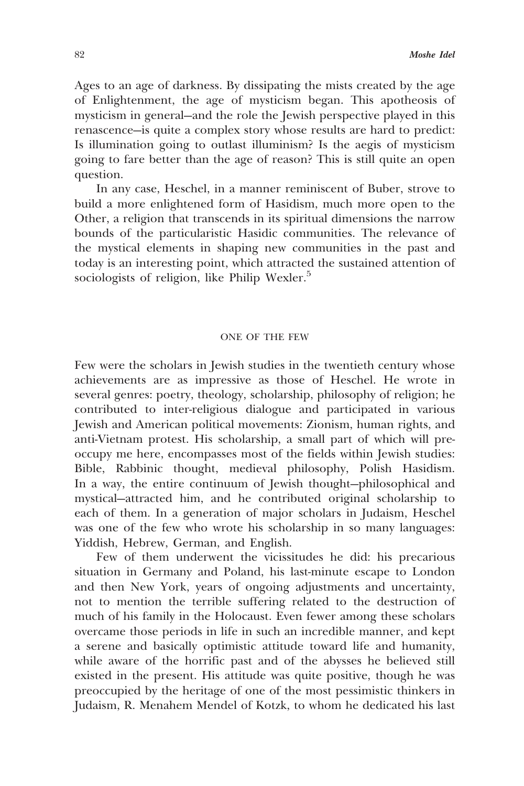Ages to an age of darkness. By dissipating the mists created by the age of Enlightenment, the age of mysticism began. This apotheosis of mysticism in general—and the role the Jewish perspective played in this renascence—is quite a complex story whose results are hard to predict: Is illumination going to outlast illuminism? Is the aegis of mysticism going to fare better than the age of reason? This is still quite an open question.

In any case, Heschel, in a manner reminiscent of Buber, strove to build a more enlightened form of Hasidism, much more open to the Other, a religion that transcends in its spiritual dimensions the narrow bounds of the particularistic Hasidic communities. The relevance of the mystical elements in shaping new communities in the past and today is an interesting point, which attracted the sustained attention of sociologists of religion, like Philip Wexler.<sup>5</sup>

#### ONE OF THE FEW

Few were the scholars in Jewish studies in the twentieth century whose achievements are as impressive as those of Heschel. He wrote in several genres: poetry, theology, scholarship, philosophy of religion; he contributed to inter-religious dialogue and participated in various Jewish and American political movements: Zionism, human rights, and anti-Vietnam protest. His scholarship, a small part of which will preoccupy me here, encompasses most of the fields within Jewish studies: Bible, Rabbinic thought, medieval philosophy, Polish Hasidism. In a way, the entire continuum of Jewish thought—philosophical and mystical—attracted him, and he contributed original scholarship to each of them. In a generation of major scholars in Judaism, Heschel was one of the few who wrote his scholarship in so many languages: Yiddish, Hebrew, German, and English.

Few of them underwent the vicissitudes he did: his precarious situation in Germany and Poland, his last-minute escape to London and then New York, years of ongoing adjustments and uncertainty, not to mention the terrible suffering related to the destruction of much of his family in the Holocaust. Even fewer among these scholars overcame those periods in life in such an incredible manner, and kept a serene and basically optimistic attitude toward life and humanity, while aware of the horrific past and of the abysses he believed still existed in the present. His attitude was quite positive, though he was preoccupied by the heritage of one of the most pessimistic thinkers in Judaism, R. Menahem Mendel of Kotzk, to whom he dedicated his last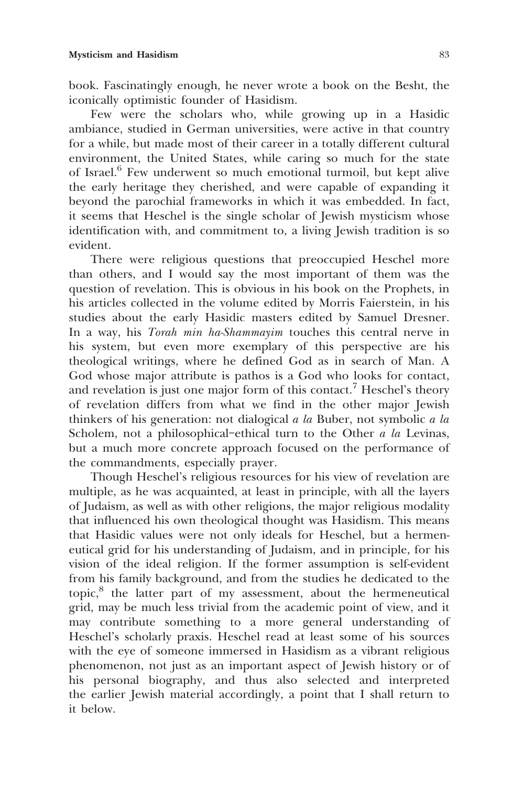book. Fascinatingly enough, he never wrote a book on the Besht, the iconically optimistic founder of Hasidism.

Few were the scholars who, while growing up in a Hasidic ambiance, studied in German universities, were active in that country for a while, but made most of their career in a totally different cultural environment, the United States, while caring so much for the state of Israel.6 Few underwent so much emotional turmoil, but kept alive the early heritage they cherished, and were capable of expanding it beyond the parochial frameworks in which it was embedded. In fact, it seems that Heschel is the single scholar of Jewish mysticism whose identification with, and commitment to, a living Jewish tradition is so evident.

There were religious questions that preoccupied Heschel more than others, and I would say the most important of them was the question of revelation. This is obvious in his book on the Prophets, in his articles collected in the volume edited by Morris Faierstein, in his studies about the early Hasidic masters edited by Samuel Dresner. In a way, his Torah min ha-Shammayim touches this central nerve in his system, but even more exemplary of this perspective are his theological writings, where he defined God as in search of Man. A God whose major attribute is pathos is a God who looks for contact, and revelation is just one major form of this contact.<sup>7</sup> Heschel's theory of revelation differs from what we find in the other major Jewish thinkers of his generation: not dialogical a la Buber, not symbolic a la Scholem, not a philosophical-ethical turn to the Other *a la* Levinas, but a much more concrete approach focused on the performance of the commandments, especially prayer.

Though Heschel's religious resources for his view of revelation are multiple, as he was acquainted, at least in principle, with all the layers of Judaism, as well as with other religions, the major religious modality that influenced his own theological thought was Hasidism. This means that Hasidic values were not only ideals for Heschel, but a hermeneutical grid for his understanding of Judaism, and in principle, for his vision of the ideal religion. If the former assumption is self-evident from his family background, and from the studies he dedicated to the topic,8 the latter part of my assessment, about the hermeneutical grid, may be much less trivial from the academic point of view, and it may contribute something to a more general understanding of Heschel's scholarly praxis. Heschel read at least some of his sources with the eye of someone immersed in Hasidism as a vibrant religious phenomenon, not just as an important aspect of Jewish history or of his personal biography, and thus also selected and interpreted the earlier Jewish material accordingly, a point that I shall return to it below.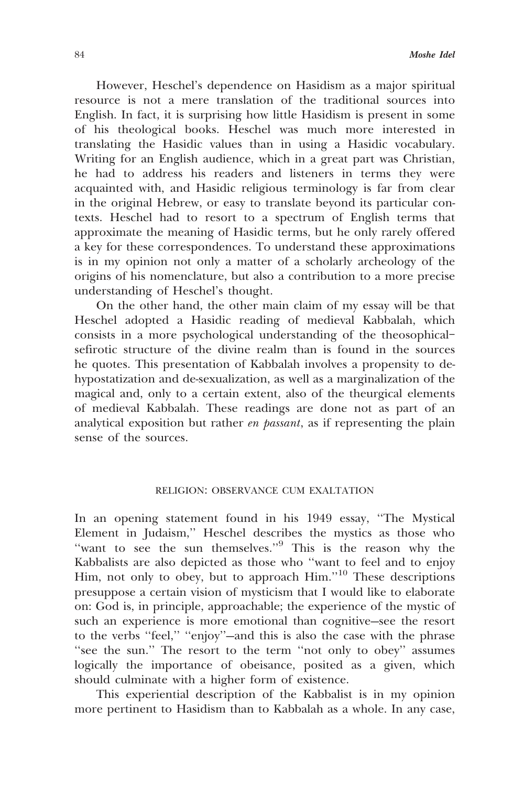However, Heschel's dependence on Hasidism as a major spiritual resource is not a mere translation of the traditional sources into English. In fact, it is surprising how little Hasidism is present in some of his theological books. Heschel was much more interested in translating the Hasidic values than in using a Hasidic vocabulary. Writing for an English audience, which in a great part was Christian, he had to address his readers and listeners in terms they were acquainted with, and Hasidic religious terminology is far from clear in the original Hebrew, or easy to translate beyond its particular contexts. Heschel had to resort to a spectrum of English terms that approximate the meaning of Hasidic terms, but he only rarely offered a key for these correspondences. To understand these approximations is in my opinion not only a matter of a scholarly archeology of the origins of his nomenclature, but also a contribution to a more precise understanding of Heschel's thought.

On the other hand, the other main claim of my essay will be that Heschel adopted a Hasidic reading of medieval Kabbalah, which consists in a more psychological understanding of the theosophical– sefirotic structure of the divine realm than is found in the sources he quotes. This presentation of Kabbalah involves a propensity to dehypostatization and de-sexualization, as well as a marginalization of the magical and, only to a certain extent, also of the theurgical elements of medieval Kabbalah. These readings are done not as part of an analytical exposition but rather en passant, as if representing the plain sense of the sources.

# RELIGION: OBSERVANCE CUM EXALTATION

In an opening statement found in his 1949 essay, ''The Mystical Element in Judaism,'' Heschel describes the mystics as those who "want to see the sun themselves."<sup>9</sup> This is the reason why the Kabbalists are also depicted as those who ''want to feel and to enjoy Him, not only to obey, but to approach Him.''<sup>10</sup> These descriptions presuppose a certain vision of mysticism that I would like to elaborate on: God is, in principle, approachable; the experience of the mystic of such an experience is more emotional than cognitive—see the resort to the verbs ''feel,'' ''enjoy''—and this is also the case with the phrase "see the sun." The resort to the term "not only to obey" assumes logically the importance of obeisance, posited as a given, which should culminate with a higher form of existence.

This experiential description of the Kabbalist is in my opinion more pertinent to Hasidism than to Kabbalah as a whole. In any case,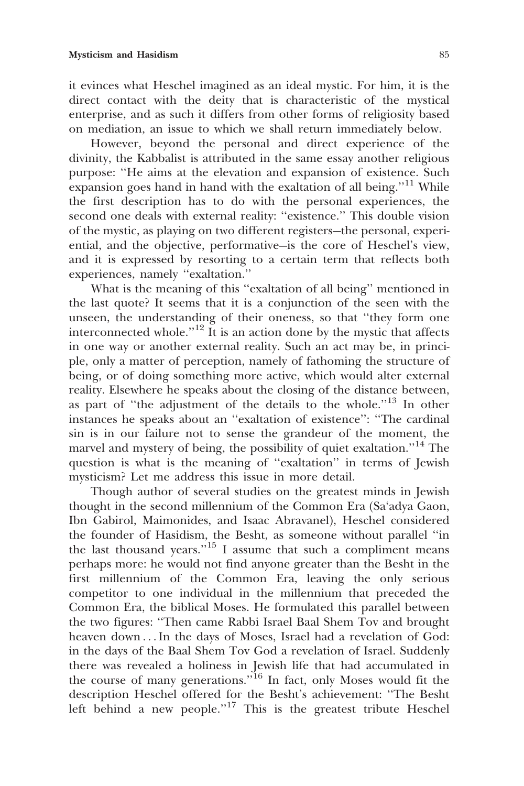#### Mysticism and Hasidism 85

it evinces what Heschel imagined as an ideal mystic. For him, it is the direct contact with the deity that is characteristic of the mystical enterprise, and as such it differs from other forms of religiosity based on mediation, an issue to which we shall return immediately below.

However, beyond the personal and direct experience of the divinity, the Kabbalist is attributed in the same essay another religious purpose: ''He aims at the elevation and expansion of existence. Such expansion goes hand in hand with the exaltation of all being.''<sup>11</sup> While the first description has to do with the personal experiences, the second one deals with external reality: ''existence.'' This double vision of the mystic, as playing on two different registers—the personal, experiential, and the objective, performative—is the core of Heschel's view, and it is expressed by resorting to a certain term that reflects both experiences, namely ''exaltation.''

What is the meaning of this ''exaltation of all being'' mentioned in the last quote? It seems that it is a conjunction of the seen with the unseen, the understanding of their oneness, so that ''they form one interconnected whole."<sup>12</sup> It is an action done by the mystic that affects in one way or another external reality. Such an act may be, in principle, only a matter of perception, namely of fathoming the structure of being, or of doing something more active, which would alter external reality. Elsewhere he speaks about the closing of the distance between, as part of "the adjustment of the details to the whole."<sup>13</sup> In other instances he speaks about an ''exaltation of existence'': ''The cardinal sin is in our failure not to sense the grandeur of the moment, the marvel and mystery of being, the possibility of quiet exaltation."<sup>14</sup> The question is what is the meaning of ''exaltation'' in terms of Jewish mysticism? Let me address this issue in more detail.

Though author of several studies on the greatest minds in Jewish thought in the second millennium of the Common Era (Sa'adya Gaon, Ibn Gabirol, Maimonides, and Isaac Abravanel), Heschel considered the founder of Hasidism, the Besht, as someone without parallel ''in the last thousand years."<sup>15</sup> I assume that such a compliment means perhaps more: he would not find anyone greater than the Besht in the first millennium of the Common Era, leaving the only serious competitor to one individual in the millennium that preceded the Common Era, the biblical Moses. He formulated this parallel between the two figures: ''Then came Rabbi Israel Baal Shem Tov and brought heaven down ...In the days of Moses, Israel had a revelation of God: in the days of the Baal Shem Tov God a revelation of Israel. Suddenly there was revealed a holiness in Jewish life that had accumulated in the course of many generations.''<sup>16</sup> In fact, only Moses would fit the description Heschel offered for the Besht's achievement: ''The Besht left behind a new people."<sup>17</sup> This is the greatest tribute Heschel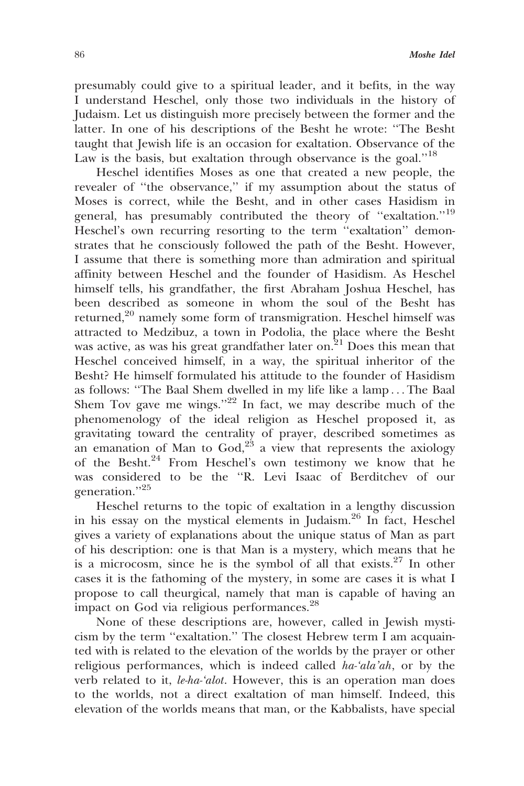presumably could give to a spiritual leader, and it befits, in the way I understand Heschel, only those two individuals in the history of Judaism. Let us distinguish more precisely between the former and the latter. In one of his descriptions of the Besht he wrote: ''The Besht taught that Jewish life is an occasion for exaltation. Observance of the Law is the basis, but exaltation through observance is the goal."<sup>18</sup>

Heschel identifies Moses as one that created a new people, the revealer of ''the observance,'' if my assumption about the status of Moses is correct, while the Besht, and in other cases Hasidism in general, has presumably contributed the theory of "exaltation."<sup>19</sup> Heschel's own recurring resorting to the term "exaltation" demonstrates that he consciously followed the path of the Besht. However, I assume that there is something more than admiration and spiritual affinity between Heschel and the founder of Hasidism. As Heschel himself tells, his grandfather, the first Abraham Joshua Heschel, has been described as someone in whom the soul of the Besht has returned,<sup>20</sup> namely some form of transmigration. Heschel himself was attracted to Medzibuz, a town in Podolia, the place where the Besht was active, as was his great grandfather later on. $^{21}$  Does this mean that Heschel conceived himself, in a way, the spiritual inheritor of the Besht? He himself formulated his attitude to the founder of Hasidism as follows: ''The Baal Shem dwelled in my life like a lamp ... The Baal Shem Tov gave me wings."<sup>22</sup> In fact, we may describe much of the phenomenology of the ideal religion as Heschel proposed it, as gravitating toward the centrality of prayer, described sometimes as an emanation of Man to God, $2^3$  a view that represents the axiology of the Besht.<sup>24</sup> From Heschel's own testimony we know that he was considered to be the ''R. Levi Isaac of Berditchev of our generation.''<sup>25</sup>

Heschel returns to the topic of exaltation in a lengthy discussion in his essay on the mystical elements in Judaism.<sup>26</sup> In fact, Heschel gives a variety of explanations about the unique status of Man as part of his description: one is that Man is a mystery, which means that he is a microcosm, since he is the symbol of all that exists.<sup>27</sup> In other cases it is the fathoming of the mystery, in some are cases it is what I propose to call theurgical, namely that man is capable of having an impact on God via religious performances.<sup>28</sup>

None of these descriptions are, however, called in Jewish mysticism by the term ''exaltation.'' The closest Hebrew term I am acquainted with is related to the elevation of the worlds by the prayer or other religious performances, which is indeed called ha-'ala'ah, or by the verb related to it, le-ha-'alot. However, this is an operation man does to the worlds, not a direct exaltation of man himself. Indeed, this elevation of the worlds means that man, or the Kabbalists, have special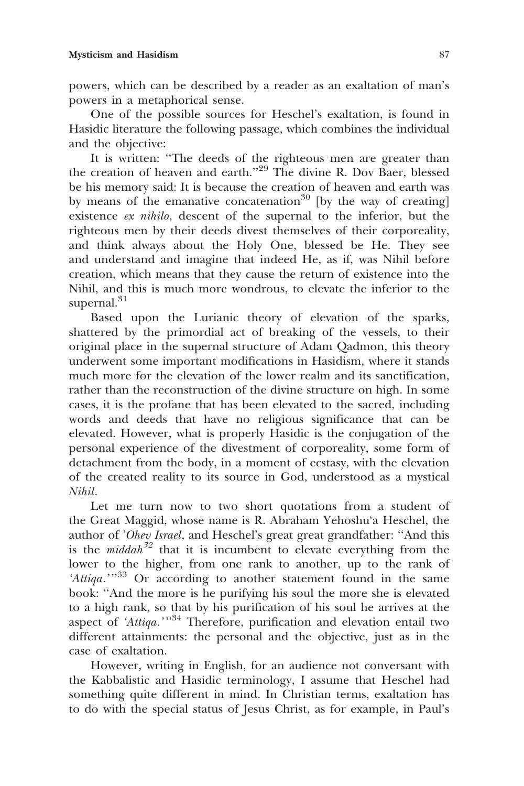powers, which can be described by a reader as an exaltation of man's powers in a metaphorical sense.

One of the possible sources for Heschel's exaltation, is found in Hasidic literature the following passage, which combines the individual and the objective:

It is written: ''The deeds of the righteous men are greater than the creation of heaven and earth.''<sup>29</sup> The divine R. Dov Baer, blessed be his memory said: It is because the creation of heaven and earth was by means of the emanative concatenation<sup>30</sup> [by the way of creating] existence ex nihilo, descent of the supernal to the inferior, but the righteous men by their deeds divest themselves of their corporeality, and think always about the Holy One, blessed be He. They see and understand and imagine that indeed He, as if, was Nihil before creation, which means that they cause the return of existence into the Nihil, and this is much more wondrous, to elevate the inferior to the supernal. $31$ 

Based upon the Lurianic theory of elevation of the sparks, shattered by the primordial act of breaking of the vessels, to their original place in the supernal structure of Adam Qadmon, this theory underwent some important modifications in Hasidism, where it stands much more for the elevation of the lower realm and its sanctification, rather than the reconstruction of the divine structure on high. In some cases, it is the profane that has been elevated to the sacred, including words and deeds that have no religious significance that can be elevated. However, what is properly Hasidic is the conjugation of the personal experience of the divestment of corporeality, some form of detachment from the body, in a moment of ecstasy, with the elevation of the created reality to its source in God, understood as a mystical Nihil.

Let me turn now to two short quotations from a student of the Great Maggid, whose name is R. Abraham Yehoshu'a Heschel, the author of 'Ohev Israel, and Heschel's great great grandfather: ''And this is the *middah*<sup>32</sup> that it is incumbent to elevate everything from the lower to the higher, from one rank to another, up to the rank of 'Attiqa.'"<sup>33</sup> Or according to another statement found in the same book: ''And the more is he purifying his soul the more she is elevated to a high rank, so that by his purification of his soul he arrives at the aspect of 'Attiga.'"<sup>34</sup> Therefore, purification and elevation entail two different attainments: the personal and the objective, just as in the case of exaltation.

However, writing in English, for an audience not conversant with the Kabbalistic and Hasidic terminology, I assume that Heschel had something quite different in mind. In Christian terms, exaltation has to do with the special status of Jesus Christ, as for example, in Paul's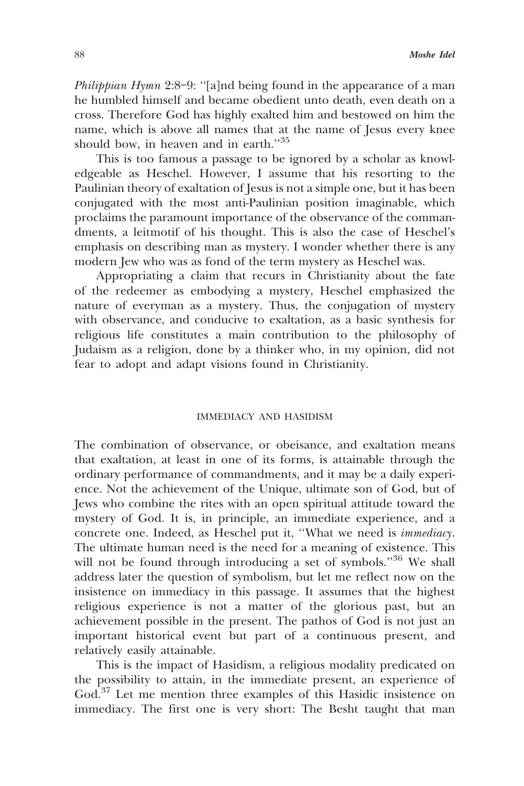Philippian Hymn 2:8-9: "[a]nd being found in the appearance of a man he humbled himself and became obedient unto death, even death on a cross. Therefore God has highly exalted him and bestowed on him the name, which is above all names that at the name of Jesus every knee should bow, in heaven and in earth."35

This is too famous a passage to be ignored by a scholar as knowledgeable as Heschel. However, I assume that his resorting to the Paulinian theory of exaltation of Jesus is not a simple one, but it has been conjugated with the most anti-Paulinian position imaginable, which proclaims the paramount importance of the observance of the commandments, a leitmotif of his thought. This is also the case of Heschel's emphasis on describing man as mystery. I wonder whether there is any modern Jew who was as fond of the term mystery as Heschel was.

Appropriating a claim that recurs in Christianity about the fate of the redeemer as embodying a mystery, Heschel emphasized the nature of everyman as a mystery. Thus, the conjugation of mystery with observance, and conducive to exaltation, as a basic synthesis for religious life constitutes a main contribution to the philosophy of Judaism as a religion, done by a thinker who, in my opinion, did not fear to adopt and adapt visions found in Christianity.

#### IMMEDIACY AND HASIDISM

The combination of observance, or obeisance, and exaltation means that exaltation, at least in one of its forms, is attainable through the ordinary performance of commandments, and it may be a daily experience. Not the achievement of the Unique, ultimate son of God, but of Jews who combine the rites with an open spiritual attitude toward the mystery of God. It is, in principle, an immediate experience, and a concrete one. Indeed, as Heschel put it, ''What we need is immediacy. The ultimate human need is the need for a meaning of existence. This will not be found through introducing a set of symbols."<sup>36</sup> We shall address later the question of symbolism, but let me reflect now on the insistence on immediacy in this passage. It assumes that the highest religious experience is not a matter of the glorious past, but an achievement possible in the present. The pathos of God is not just an important historical event but part of a continuous present, and relatively easily attainable.

This is the impact of Hasidism, a religious modality predicated on the possibility to attain, in the immediate present, an experience of God.<sup>37</sup> Let me mention three examples of this Hasidic insistence on immediacy. The first one is very short: The Besht taught that man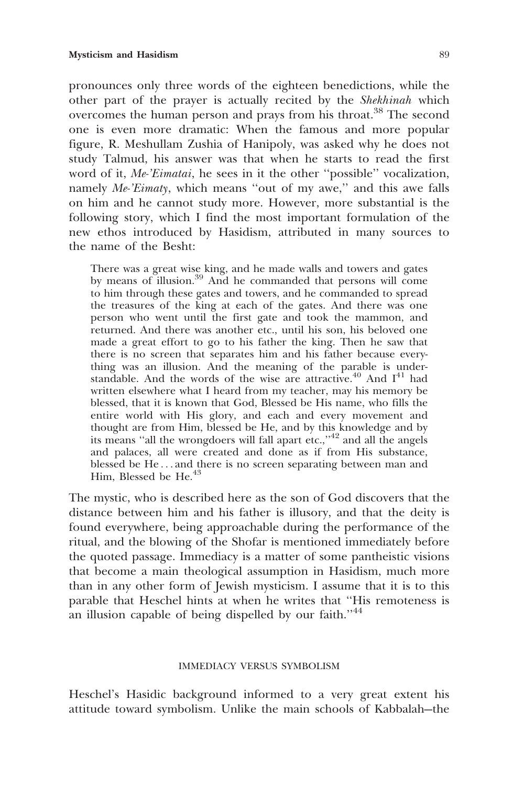pronounces only three words of the eighteen benedictions, while the other part of the prayer is actually recited by the Shekhinah which overcomes the human person and prays from his throat.<sup>38</sup> The second one is even more dramatic: When the famous and more popular figure, R. Meshullam Zushia of Hanipoly, was asked why he does not study Talmud, his answer was that when he starts to read the first word of it, Me-'Eimatai, he sees in it the other ''possible'' vocalization, namely Me-'Eimaty, which means "out of my awe," and this awe falls on him and he cannot study more. However, more substantial is the following story, which I find the most important formulation of the new ethos introduced by Hasidism, attributed in many sources to the name of the Besht:

There was a great wise king, and he made walls and towers and gates by means of illusion.<sup>39</sup> And he commanded that persons will come to him through these gates and towers, and he commanded to spread the treasures of the king at each of the gates. And there was one person who went until the first gate and took the mammon, and returned. And there was another etc., until his son, his beloved one made a great effort to go to his father the king. Then he saw that there is no screen that separates him and his father because everything was an illusion. And the meaning of the parable is understandable. And the words of the wise are attractive.<sup>40</sup> And I<sup>41</sup> had written elsewhere what I heard from my teacher, may his memory be blessed, that it is known that God, Blessed be His name, who fills the entire world with His glory, and each and every movement and thought are from Him, blessed be He, and by this knowledge and by its means "all the wrongdoers will fall apart etc.,"<sup>42</sup> and all the angels and palaces, all were created and done as if from His substance, blessed be He ... and there is no screen separating between man and Him, Blessed be He.<sup>43</sup>

The mystic, who is described here as the son of God discovers that the distance between him and his father is illusory, and that the deity is found everywhere, being approachable during the performance of the ritual, and the blowing of the Shofar is mentioned immediately before the quoted passage. Immediacy is a matter of some pantheistic visions that become a main theological assumption in Hasidism, much more than in any other form of Jewish mysticism. I assume that it is to this parable that Heschel hints at when he writes that ''His remoteness is an illusion capable of being dispelled by our faith.<sup>''44</sup>

### IMMEDIACY VERSUS SYMBOLISM

Heschel's Hasidic background informed to a very great extent his attitude toward symbolism. Unlike the main schools of Kabbalah—the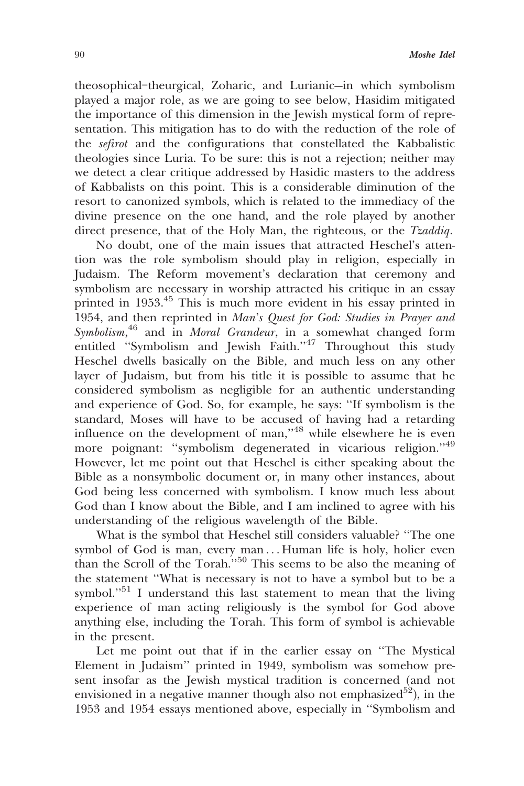theosophical–theurgical, Zoharic, and Lurianic—in which symbolism played a major role, as we are going to see below, Hasidim mitigated the importance of this dimension in the Jewish mystical form of representation. This mitigation has to do with the reduction of the role of the sefirot and the configurations that constellated the Kabbalistic theologies since Luria. To be sure: this is not a rejection; neither may we detect a clear critique addressed by Hasidic masters to the address of Kabbalists on this point. This is a considerable diminution of the resort to canonized symbols, which is related to the immediacy of the divine presence on the one hand, and the role played by another direct presence, that of the Holy Man, the righteous, or the Tzaddiq.

No doubt, one of the main issues that attracted Heschel's attention was the role symbolism should play in religion, especially in Judaism. The Reform movement's declaration that ceremony and symbolism are necessary in worship attracted his critique in an essay printed in 1953.<sup>45</sup> This is much more evident in his essay printed in 1954, and then reprinted in Man's Quest for God: Studies in Prayer and Symbolism,<sup>46</sup> and in Moral Grandeur, in a somewhat changed form entitled "Symbolism and Jewish Faith."<sup>47</sup> Throughout this study Heschel dwells basically on the Bible, and much less on any other layer of Judaism, but from his title it is possible to assume that he considered symbolism as negligible for an authentic understanding and experience of God. So, for example, he says: ''If symbolism is the standard, Moses will have to be accused of having had a retarding influence on the development of man,"<sup>48</sup> while elsewhere he is even more poignant: "symbolism degenerated in vicarious religion."<sup>49</sup> However, let me point out that Heschel is either speaking about the Bible as a nonsymbolic document or, in many other instances, about God being less concerned with symbolism. I know much less about God than I know about the Bible, and I am inclined to agree with his understanding of the religious wavelength of the Bible.

What is the symbol that Heschel still considers valuable? ''The one symbol of God is man, every man ... Human life is holy, holier even than the Scroll of the Torah.''<sup>50</sup> This seems to be also the meaning of the statement ''What is necessary is not to have a symbol but to be a symbol."<sup>51</sup> I understand this last statement to mean that the living experience of man acting religiously is the symbol for God above anything else, including the Torah. This form of symbol is achievable in the present.

Let me point out that if in the earlier essay on ''The Mystical Element in Judaism'' printed in 1949, symbolism was somehow present insofar as the Jewish mystical tradition is concerned (and not envisioned in a negative manner though also not emphasized<sup>52</sup>), in the 1953 and 1954 essays mentioned above, especially in ''Symbolism and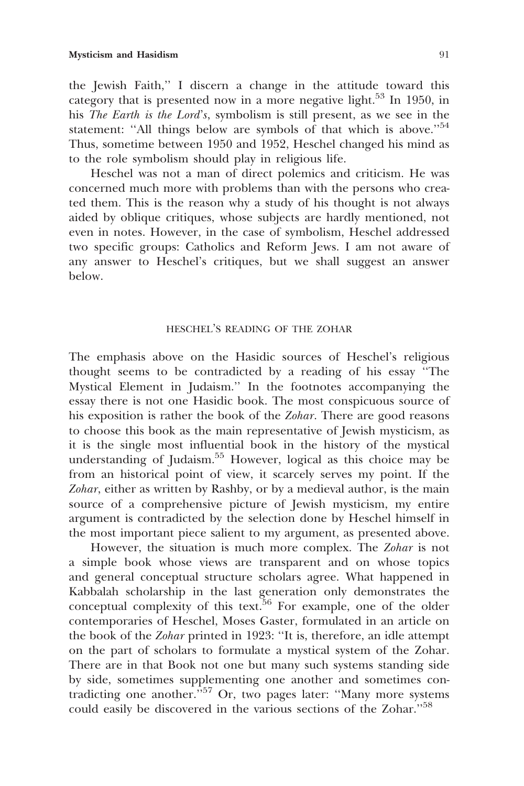the Jewish Faith,'' I discern a change in the attitude toward this category that is presented now in a more negative light.<sup>53</sup> In 1950, in his The Earth is the Lord's, symbolism is still present, as we see in the statement: "All things below are symbols of that which is above."<sup>54</sup> Thus, sometime between 1950 and 1952, Heschel changed his mind as to the role symbolism should play in religious life.

Heschel was not a man of direct polemics and criticism. He was concerned much more with problems than with the persons who created them. This is the reason why a study of his thought is not always aided by oblique critiques, whose subjects are hardly mentioned, not even in notes. However, in the case of symbolism, Heschel addressed two specific groups: Catholics and Reform Jews. I am not aware of any answer to Heschel's critiques, but we shall suggest an answer below.

## HESCHEL'S READING OF THE ZOHAR

The emphasis above on the Hasidic sources of Heschel's religious thought seems to be contradicted by a reading of his essay ''The Mystical Element in Judaism.'' In the footnotes accompanying the essay there is not one Hasidic book. The most conspicuous source of his exposition is rather the book of the Zohar. There are good reasons to choose this book as the main representative of Jewish mysticism, as it is the single most influential book in the history of the mystical understanding of Judaism.<sup>55</sup> However, logical as this choice may be from an historical point of view, it scarcely serves my point. If the Zohar, either as written by Rashby, or by a medieval author, is the main source of a comprehensive picture of Jewish mysticism, my entire argument is contradicted by the selection done by Heschel himself in the most important piece salient to my argument, as presented above.

However, the situation is much more complex. The Zohar is not a simple book whose views are transparent and on whose topics and general conceptual structure scholars agree. What happened in Kabbalah scholarship in the last generation only demonstrates the conceptual complexity of this text.<sup>56</sup> For example, one of the older contemporaries of Heschel, Moses Gaster, formulated in an article on the book of the Zohar printed in 1923: ''It is, therefore, an idle attempt on the part of scholars to formulate a mystical system of the Zohar. There are in that Book not one but many such systems standing side by side, sometimes supplementing one another and sometimes contradicting one another."<sup>57</sup> Or, two pages later: "Many more systems could easily be discovered in the various sections of the Zohar.''<sup>58</sup>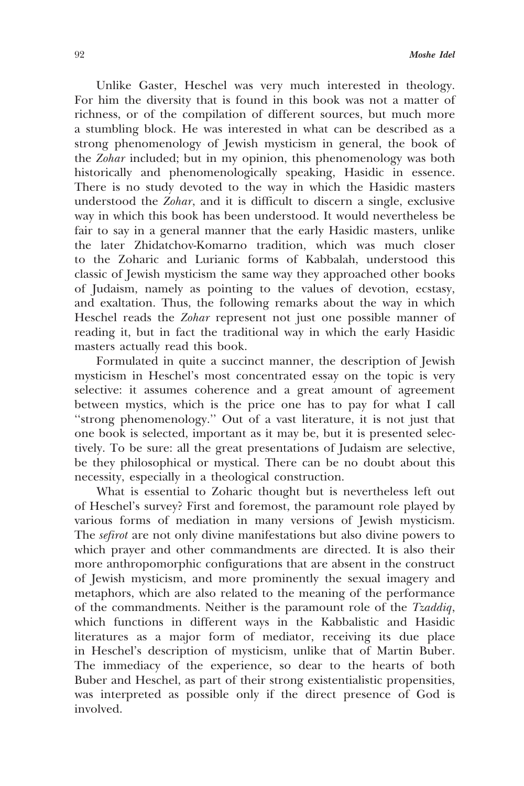Unlike Gaster, Heschel was very much interested in theology. For him the diversity that is found in this book was not a matter of richness, or of the compilation of different sources, but much more a stumbling block. He was interested in what can be described as a strong phenomenology of Jewish mysticism in general, the book of the Zohar included; but in my opinion, this phenomenology was both historically and phenomenologically speaking, Hasidic in essence. There is no study devoted to the way in which the Hasidic masters understood the Zohar, and it is difficult to discern a single, exclusive way in which this book has been understood. It would nevertheless be fair to say in a general manner that the early Hasidic masters, unlike the later Zhidatchov-Komarno tradition, which was much closer to the Zoharic and Lurianic forms of Kabbalah, understood this classic of Jewish mysticism the same way they approached other books of Judaism, namely as pointing to the values of devotion, ecstasy, and exaltation. Thus, the following remarks about the way in which Heschel reads the Zohar represent not just one possible manner of reading it, but in fact the traditional way in which the early Hasidic masters actually read this book.

Formulated in quite a succinct manner, the description of Jewish mysticism in Heschel's most concentrated essay on the topic is very selective: it assumes coherence and a great amount of agreement between mystics, which is the price one has to pay for what I call ''strong phenomenology.'' Out of a vast literature, it is not just that one book is selected, important as it may be, but it is presented selectively. To be sure: all the great presentations of Judaism are selective, be they philosophical or mystical. There can be no doubt about this necessity, especially in a theological construction.

What is essential to Zoharic thought but is nevertheless left out of Heschel's survey? First and foremost, the paramount role played by various forms of mediation in many versions of Jewish mysticism. The sefirot are not only divine manifestations but also divine powers to which prayer and other commandments are directed. It is also their more anthropomorphic configurations that are absent in the construct of Jewish mysticism, and more prominently the sexual imagery and metaphors, which are also related to the meaning of the performance of the commandments. Neither is the paramount role of the Tzaddiq, which functions in different ways in the Kabbalistic and Hasidic literatures as a major form of mediator, receiving its due place in Heschel's description of mysticism, unlike that of Martin Buber. The immediacy of the experience, so dear to the hearts of both Buber and Heschel, as part of their strong existentialistic propensities, was interpreted as possible only if the direct presence of God is involved.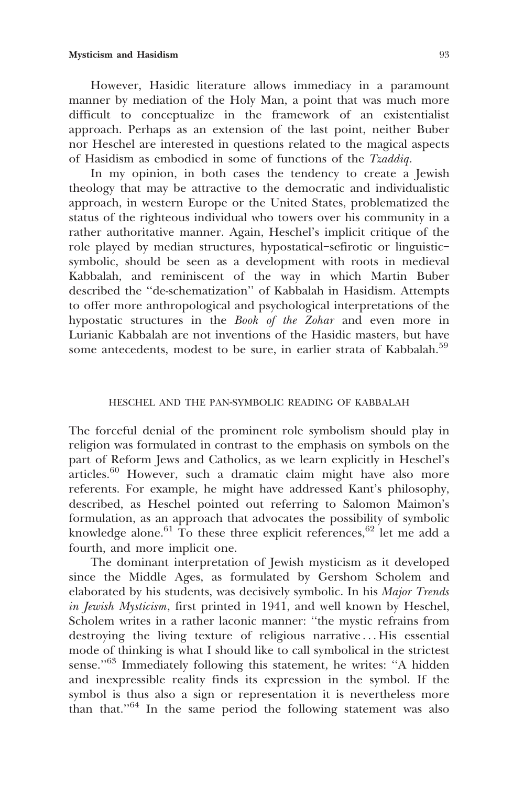#### Mysticism and Hasidism 93

However, Hasidic literature allows immediacy in a paramount manner by mediation of the Holy Man, a point that was much more difficult to conceptualize in the framework of an existentialist approach. Perhaps as an extension of the last point, neither Buber nor Heschel are interested in questions related to the magical aspects of Hasidism as embodied in some of functions of the Tzaddiq.

In my opinion, in both cases the tendency to create a Jewish theology that may be attractive to the democratic and individualistic approach, in western Europe or the United States, problematized the status of the righteous individual who towers over his community in a rather authoritative manner. Again, Heschel's implicit critique of the role played by median structures, hypostatical–sefirotic or linguistic– symbolic, should be seen as a development with roots in medieval Kabbalah, and reminiscent of the way in which Martin Buber described the ''de-schematization'' of Kabbalah in Hasidism. Attempts to offer more anthropological and psychological interpretations of the hypostatic structures in the Book of the Zohar and even more in Lurianic Kabbalah are not inventions of the Hasidic masters, but have some antecedents, modest to be sure, in earlier strata of Kabbalah.<sup>59</sup>

## HESCHEL AND THE PAN-SYMBOLIC READING OF KABBALAH

The forceful denial of the prominent role symbolism should play in religion was formulated in contrast to the emphasis on symbols on the part of Reform Jews and Catholics, as we learn explicitly in Heschel's articles.<sup>60</sup> However, such a dramatic claim might have also more referents. For example, he might have addressed Kant's philosophy, described, as Heschel pointed out referring to Salomon Maimon's formulation, as an approach that advocates the possibility of symbolic knowledge alone.<sup>61</sup> To these three explicit references,  $62$  let me add a fourth, and more implicit one.

The dominant interpretation of Jewish mysticism as it developed since the Middle Ages, as formulated by Gershom Scholem and elaborated by his students, was decisively symbolic. In his Major Trends in Jewish Mysticism, first printed in 1941, and well known by Heschel, Scholem writes in a rather laconic manner: ''the mystic refrains from destroying the living texture of religious narrative ... His essential mode of thinking is what I should like to call symbolical in the strictest sense."<sup>63</sup> Immediately following this statement, he writes: "A hidden and inexpressible reality finds its expression in the symbol. If the symbol is thus also a sign or representation it is nevertheless more than that.''<sup>64</sup> In the same period the following statement was also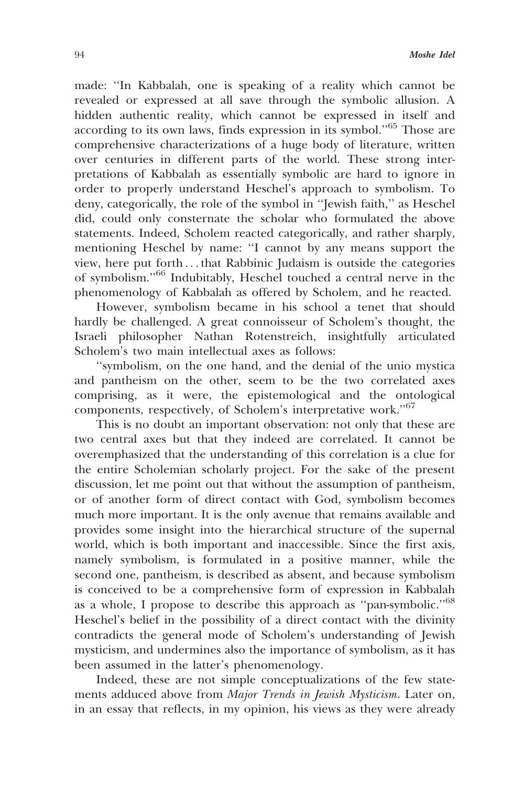made: ''In Kabbalah, one is speaking of a reality which cannot be revealed or expressed at all save through the symbolic allusion. A hidden authentic reality, which cannot be expressed in itself and according to its own laws, finds expression in its symbol.''<sup>65</sup> Those are comprehensive characterizations of a huge body of literature, written over centuries in different parts of the world. These strong interpretations of Kabbalah as essentially symbolic are hard to ignore in order to properly understand Heschel's approach to symbolism. To deny, categorically, the role of the symbol in ''Jewish faith,'' as Heschel did, could only consternate the scholar who formulated the above statements. Indeed, Scholem reacted categorically, and rather sharply, mentioning Heschel by name: ''I cannot by any means support the view, here put forth ...that Rabbinic Judaism is outside the categories of symbolism.''<sup>66</sup> Indubitably, Heschel touched a central nerve in the phenomenology of Kabbalah as offered by Scholem, and he reacted.

However, symbolism became in his school a tenet that should hardly be challenged. A great connoisseur of Scholem's thought, the Israeli philosopher Nathan Rotenstreich, insightfully articulated Scholem's two main intellectual axes as follows:

''symbolism, on the one hand, and the denial of the unio mystica and pantheism on the other, seem to be the two correlated axes comprising, as it were, the epistemological and the ontological components, respectively, of Scholem's interpretative work.''<sup>67</sup>

This is no doubt an important observation: not only that these are two central axes but that they indeed are correlated. It cannot be overemphasized that the understanding of this correlation is a clue for the entire Scholemian scholarly project. For the sake of the present discussion, let me point out that without the assumption of pantheism, or of another form of direct contact with God, symbolism becomes much more important. It is the only avenue that remains available and provides some insight into the hierarchical structure of the supernal world, which is both important and inaccessible. Since the first axis, namely symbolism, is formulated in a positive manner, while the second one, pantheism, is described as absent, and because symbolism is conceived to be a comprehensive form of expression in Kabbalah as a whole, I propose to describe this approach as ''pan-symbolic.''<sup>68</sup> Heschel's belief in the possibility of a direct contact with the divinity contradicts the general mode of Scholem's understanding of Jewish mysticism, and undermines also the importance of symbolism, as it has been assumed in the latter's phenomenology.

Indeed, these are not simple conceptualizations of the few statements adduced above from Major Trends in Jewish Mysticism. Later on, in an essay that reflects, in my opinion, his views as they were already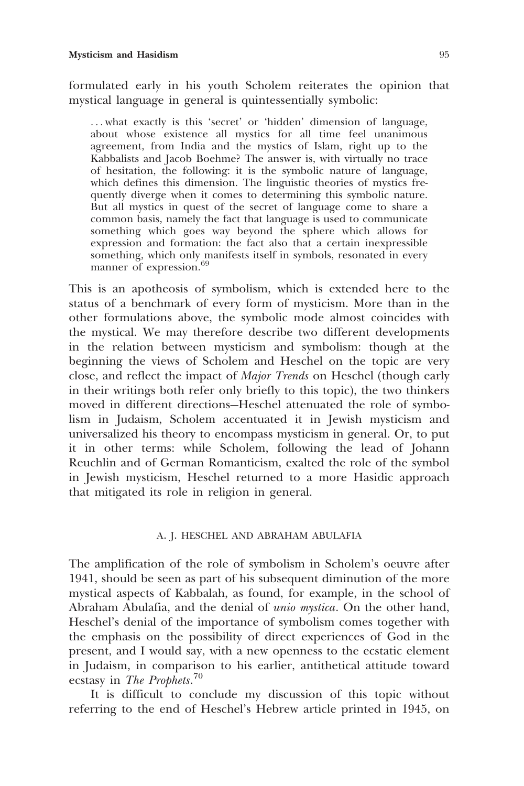formulated early in his youth Scholem reiterates the opinion that mystical language in general is quintessentially symbolic:

...what exactly is this 'secret' or 'hidden' dimension of language, about whose existence all mystics for all time feel unanimous agreement, from India and the mystics of Islam, right up to the Kabbalists and Jacob Boehme? The answer is, with virtually no trace of hesitation, the following: it is the symbolic nature of language, which defines this dimension. The linguistic theories of mystics frequently diverge when it comes to determining this symbolic nature. But all mystics in quest of the secret of language come to share a common basis, namely the fact that language is used to communicate something which goes way beyond the sphere which allows for expression and formation: the fact also that a certain inexpressible something, which only manifests itself in symbols, resonated in every manner of expression.<sup>69</sup>

This is an apotheosis of symbolism, which is extended here to the status of a benchmark of every form of mysticism. More than in the other formulations above, the symbolic mode almost coincides with the mystical. We may therefore describe two different developments in the relation between mysticism and symbolism: though at the beginning the views of Scholem and Heschel on the topic are very close, and reflect the impact of Major Trends on Heschel (though early in their writings both refer only briefly to this topic), the two thinkers moved in different directions—Heschel attenuated the role of symbolism in Judaism, Scholem accentuated it in Jewish mysticism and universalized his theory to encompass mysticism in general. Or, to put it in other terms: while Scholem, following the lead of Johann Reuchlin and of German Romanticism, exalted the role of the symbol in Jewish mysticism, Heschel returned to a more Hasidic approach that mitigated its role in religion in general.

### A. J. HESCHEL AND ABRAHAM ABULAFIA

The amplification of the role of symbolism in Scholem's oeuvre after 1941, should be seen as part of his subsequent diminution of the more mystical aspects of Kabbalah, as found, for example, in the school of Abraham Abulafia, and the denial of unio mystica. On the other hand, Heschel's denial of the importance of symbolism comes together with the emphasis on the possibility of direct experiences of God in the present, and I would say, with a new openness to the ecstatic element in Judaism, in comparison to his earlier, antithetical attitude toward ecstasy in The Prophets.<sup>70</sup>

It is difficult to conclude my discussion of this topic without referring to the end of Heschel's Hebrew article printed in 1945, on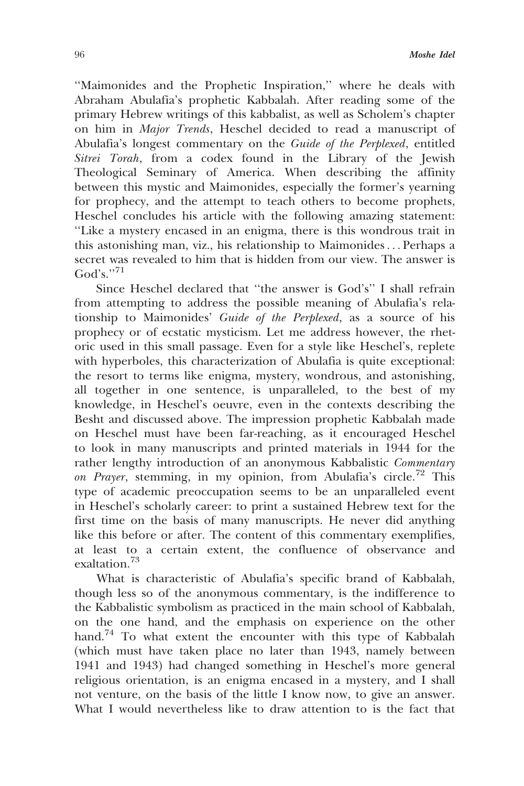''Maimonides and the Prophetic Inspiration,'' where he deals with Abraham Abulafia's prophetic Kabbalah. After reading some of the primary Hebrew writings of this kabbalist, as well as Scholem's chapter on him in Major Trends, Heschel decided to read a manuscript of Abulafia's longest commentary on the Guide of the Perplexed, entitled Sitrei Torah, from a codex found in the Library of the Jewish Theological Seminary of America. When describing the affinity between this mystic and Maimonides, especially the former's yearning for prophecy, and the attempt to teach others to become prophets, Heschel concludes his article with the following amazing statement: ''Like a mystery encased in an enigma, there is this wondrous trait in this astonishing man, viz., his relationship to Maimonides... Perhaps a secret was revealed to him that is hidden from our view. The answer is God's." $71$ 

Since Heschel declared that ''the answer is God's'' I shall refrain from attempting to address the possible meaning of Abulafia's relationship to Maimonides' Guide of the Perplexed, as a source of his prophecy or of ecstatic mysticism. Let me address however, the rhetoric used in this small passage. Even for a style like Heschel's, replete with hyperboles, this characterization of Abulafia is quite exceptional: the resort to terms like enigma, mystery, wondrous, and astonishing, all together in one sentence, is unparalleled, to the best of my knowledge, in Heschel's oeuvre, even in the contexts describing the Besht and discussed above. The impression prophetic Kabbalah made on Heschel must have been far-reaching, as it encouraged Heschel to look in many manuscripts and printed materials in 1944 for the rather lengthy introduction of an anonymous Kabbalistic Commentary on Prayer, stemming, in my opinion, from Abulafia's circle.<sup>72</sup> This type of academic preoccupation seems to be an unparalleled event in Heschel's scholarly career: to print a sustained Hebrew text for the first time on the basis of many manuscripts. He never did anything like this before or after. The content of this commentary exemplifies, at least to a certain extent, the confluence of observance and exaltation<sup>73</sup>

What is characteristic of Abulafia's specific brand of Kabbalah, though less so of the anonymous commentary, is the indifference to the Kabbalistic symbolism as practiced in the main school of Kabbalah, on the one hand, and the emphasis on experience on the other hand.<sup>74</sup> To what extent the encounter with this type of Kabbalah (which must have taken place no later than 1943, namely between 1941 and 1943) had changed something in Heschel's more general religious orientation, is an enigma encased in a mystery, and I shall not venture, on the basis of the little I know now, to give an answer. What I would nevertheless like to draw attention to is the fact that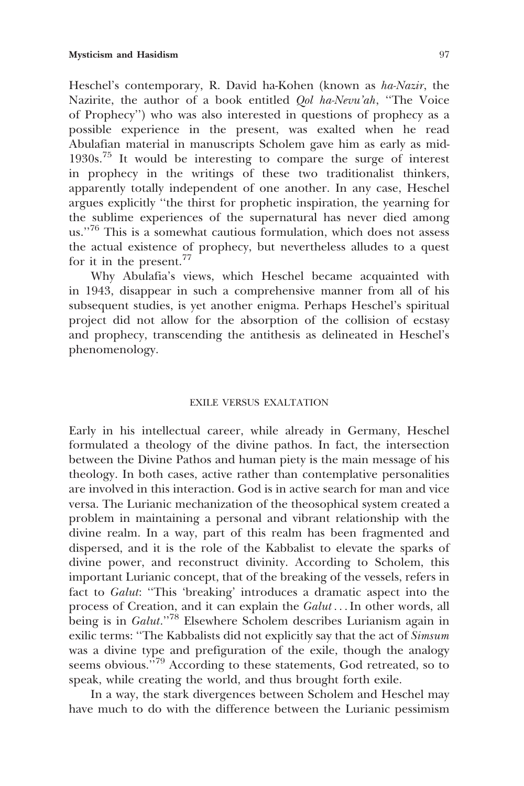Heschel's contemporary, R. David ha-Kohen (known as ha-Nazir, the Nazirite, the author of a book entitled Qol ha-Nevu'ah, ''The Voice of Prophecy'') who was also interested in questions of prophecy as a possible experience in the present, was exalted when he read Abulafian material in manuscripts Scholem gave him as early as mid- $1930s$ <sup>75</sup> It would be interesting to compare the surge of interest in prophecy in the writings of these two traditionalist thinkers, apparently totally independent of one another. In any case, Heschel argues explicitly ''the thirst for prophetic inspiration, the yearning for the sublime experiences of the supernatural has never died among us."<sup>76</sup> This is a somewhat cautious formulation, which does not assess the actual existence of prophecy, but nevertheless alludes to a quest for it in the present. $77$ 

Why Abulafia's views, which Heschel became acquainted with in 1943, disappear in such a comprehensive manner from all of his subsequent studies, is yet another enigma. Perhaps Heschel's spiritual project did not allow for the absorption of the collision of ecstasy and prophecy, transcending the antithesis as delineated in Heschel's phenomenology.

#### EXILE VERSUS EXALTATION

Early in his intellectual career, while already in Germany, Heschel formulated a theology of the divine pathos. In fact, the intersection between the Divine Pathos and human piety is the main message of his theology. In both cases, active rather than contemplative personalities are involved in this interaction. God is in active search for man and vice versa. The Lurianic mechanization of the theosophical system created a problem in maintaining a personal and vibrant relationship with the divine realm. In a way, part of this realm has been fragmented and dispersed, and it is the role of the Kabbalist to elevate the sparks of divine power, and reconstruct divinity. According to Scholem, this important Lurianic concept, that of the breaking of the vessels, refers in fact to Galut: ''This 'breaking' introduces a dramatic aspect into the process of Creation, and it can explain the Galut ...In other words, all being is in Galut."<sup>78</sup> Elsewhere Scholem describes Lurianism again in exilic terms: ''The Kabbalists did not explicitly say that the act of Simsum was a divine type and prefiguration of the exile, though the analogy seems obvious."79 According to these statements, God retreated, so to speak, while creating the world, and thus brought forth exile.

In a way, the stark divergences between Scholem and Heschel may have much to do with the difference between the Lurianic pessimism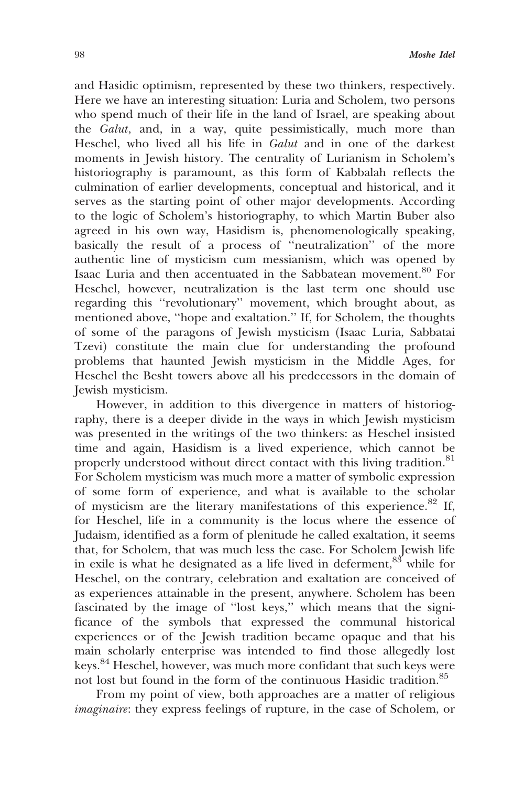and Hasidic optimism, represented by these two thinkers, respectively. Here we have an interesting situation: Luria and Scholem, two persons who spend much of their life in the land of Israel, are speaking about the Galut, and, in a way, quite pessimistically, much more than Heschel, who lived all his life in Galut and in one of the darkest moments in Jewish history. The centrality of Lurianism in Scholem's historiography is paramount, as this form of Kabbalah reflects the culmination of earlier developments, conceptual and historical, and it serves as the starting point of other major developments. According to the logic of Scholem's historiography, to which Martin Buber also agreed in his own way, Hasidism is, phenomenologically speaking, basically the result of a process of ''neutralization'' of the more authentic line of mysticism cum messianism, which was opened by Isaac Luria and then accentuated in the Sabbatean movement.<sup>80</sup> For Heschel, however, neutralization is the last term one should use regarding this ''revolutionary'' movement, which brought about, as mentioned above, ''hope and exaltation.'' If, for Scholem, the thoughts of some of the paragons of Jewish mysticism (Isaac Luria, Sabbatai Tzevi) constitute the main clue for understanding the profound problems that haunted Jewish mysticism in the Middle Ages, for Heschel the Besht towers above all his predecessors in the domain of Jewish mysticism.

However, in addition to this divergence in matters of historiography, there is a deeper divide in the ways in which Jewish mysticism was presented in the writings of the two thinkers: as Heschel insisted time and again, Hasidism is a lived experience, which cannot be properly understood without direct contact with this living tradition.<sup>81</sup> For Scholem mysticism was much more a matter of symbolic expression of some form of experience, and what is available to the scholar of mysticism are the literary manifestations of this experience.<sup>82</sup> If, for Heschel, life in a community is the locus where the essence of Judaism, identified as a form of plenitude he called exaltation, it seems that, for Scholem, that was much less the case. For Scholem Jewish life in exile is what he designated as a life lived in deferment, $83$  while for Heschel, on the contrary, celebration and exaltation are conceived of as experiences attainable in the present, anywhere. Scholem has been fascinated by the image of ''lost keys,'' which means that the significance of the symbols that expressed the communal historical experiences or of the Jewish tradition became opaque and that his main scholarly enterprise was intended to find those allegedly lost keys.<sup>84</sup> Heschel, however, was much more confidant that such keys were not lost but found in the form of the continuous Hasidic tradition.<sup>85</sup>

From my point of view, both approaches are a matter of religious imaginaire: they express feelings of rupture, in the case of Scholem, or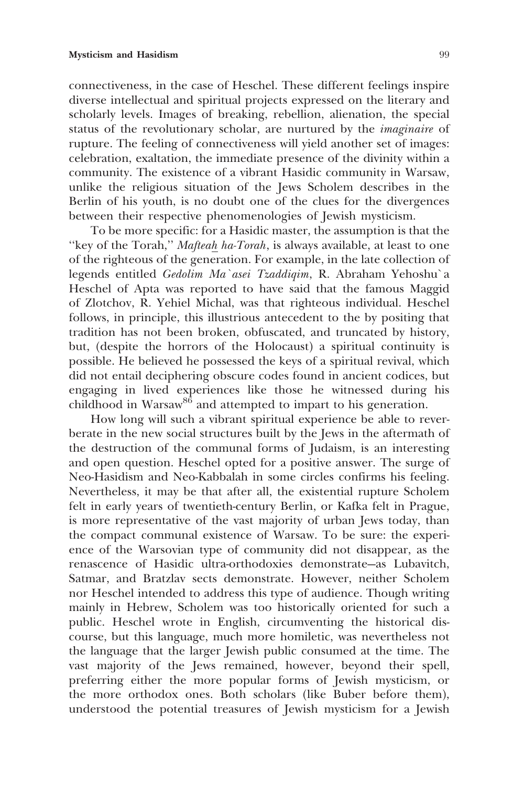connectiveness, in the case of Heschel. These different feelings inspire diverse intellectual and spiritual projects expressed on the literary and scholarly levels. Images of breaking, rebellion, alienation, the special status of the revolutionary scholar, are nurtured by the imaginaire of rupture. The feeling of connectiveness will yield another set of images: celebration, exaltation, the immediate presence of the divinity within a community. The existence of a vibrant Hasidic community in Warsaw, unlike the religious situation of the Jews Scholem describes in the Berlin of his youth, is no doubt one of the clues for the divergences between their respective phenomenologies of Jewish mysticism.

To be more specific: for a Hasidic master, the assumption is that the "key of the Torah," Mafteah ha-Torah, is always available, at least to one of the righteous of the generation. For example, in the late collection of legends entitled Gedolim Ma`asei Tzaddiqim, R. Abraham Yehoshu`a Heschel of Apta was reported to have said that the famous Maggid of Zlotchov, R. Yehiel Michal, was that righteous individual. Heschel follows, in principle, this illustrious antecedent to the by positing that tradition has not been broken, obfuscated, and truncated by history, but, (despite the horrors of the Holocaust) a spiritual continuity is possible. He believed he possessed the keys of a spiritual revival, which did not entail deciphering obscure codes found in ancient codices, but engaging in lived experiences like those he witnessed during his childhood in Warsaw<sup>86</sup> and attempted to impart to his generation.

How long will such a vibrant spiritual experience be able to reverberate in the new social structures built by the Jews in the aftermath of the destruction of the communal forms of Judaism, is an interesting and open question. Heschel opted for a positive answer. The surge of Neo-Hasidism and Neo-Kabbalah in some circles confirms his feeling. Nevertheless, it may be that after all, the existential rupture Scholem felt in early years of twentieth-century Berlin, or Kafka felt in Prague, is more representative of the vast majority of urban Jews today, than the compact communal existence of Warsaw. To be sure: the experience of the Warsovian type of community did not disappear, as the renascence of Hasidic ultra-orthodoxies demonstrate—as Lubavitch, Satmar, and Bratzlav sects demonstrate. However, neither Scholem nor Heschel intended to address this type of audience. Though writing mainly in Hebrew, Scholem was too historically oriented for such a public. Heschel wrote in English, circumventing the historical discourse, but this language, much more homiletic, was nevertheless not the language that the larger Jewish public consumed at the time. The vast majority of the Jews remained, however, beyond their spell, preferring either the more popular forms of Jewish mysticism, or the more orthodox ones. Both scholars (like Buber before them), understood the potential treasures of Jewish mysticism for a Jewish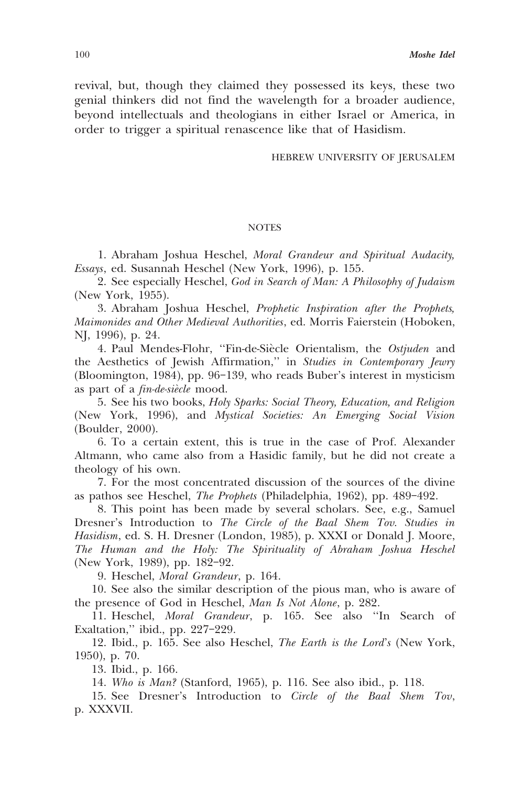revival, but, though they claimed they possessed its keys, these two genial thinkers did not find the wavelength for a broader audience, beyond intellectuals and theologians in either Israel or America, in order to trigger a spiritual renascence like that of Hasidism.

#### HEBREW UNIVERSITY OF JERUSALEM

#### **NOTES**

1. Abraham Joshua Heschel, Moral Grandeur and Spiritual Audacity, Essays, ed. Susannah Heschel (New York, 1996), p. 155.

2. See especially Heschel, God in Search of Man: A Philosophy of Judaism (New York, 1955).

3. Abraham Joshua Heschel, Prophetic Inspiration after the Prophets, Maimonides and Other Medieval Authorities, ed. Morris Faierstein (Hoboken, NJ, 1996), p. 24.

4. Paul Mendes-Flohr, "Fin-de-Siècle Orientalism, the Ostjuden and the Aesthetics of Jewish Affirmation,'' in Studies in Contemporary Jewry (Bloomington, 1984), pp. 96–139, who reads Buber's interest in mysticism as part of a *fin-de-siècle* mood.

5. See his two books, Holy Sparks: Social Theory, Education, and Religion (New York, 1996), and Mystical Societies: An Emerging Social Vision (Boulder, 2000).

6. To a certain extent, this is true in the case of Prof. Alexander Altmann, who came also from a Hasidic family, but he did not create a theology of his own.

7. For the most concentrated discussion of the sources of the divine as pathos see Heschel, The Prophets (Philadelphia, 1962), pp. 489–492.

8. This point has been made by several scholars. See, e.g., Samuel Dresner's Introduction to The Circle of the Baal Shem Tov. Studies in Hasidism, ed. S. H. Dresner (London, 1985), p. XXXI or Donald J. Moore, The Human and the Holy: The Spirituality of Abraham Joshua Heschel (New York, 1989), pp. 182–92.

9. Heschel, Moral Grandeur, p. 164.

10. See also the similar description of the pious man, who is aware of the presence of God in Heschel, Man Is Not Alone, p. 282.

11. Heschel, Moral Grandeur, p. 165. See also ''In Search of Exaltation,'' ibid., pp. 227–229.

12. Ibid., p. 165. See also Heschel, The Earth is the Lord's (New York, 1950), p. 70.

13. Ibid., p. 166.

14. Who is Man? (Stanford, 1965), p. 116. See also ibid., p. 118.

15. See Dresner's Introduction to Circle of the Baal Shem Tov, p. XXXVII.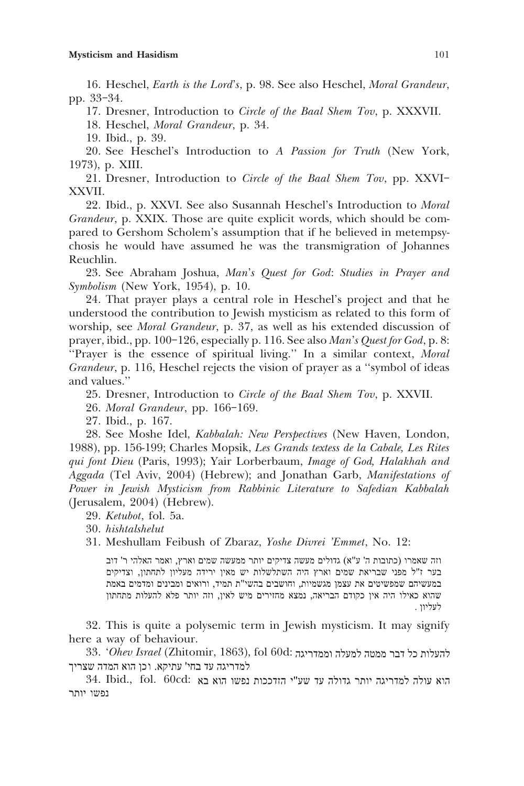16. Heschel, Earth is the Lord's, p. 98. See also Heschel, Moral Grandeur, pp. 33–34.

17. Dresner, Introduction to Circle of the Baal Shem Tov, p. XXXVII.

18. Heschel, Moral Grandeur, p. 34.

19. Ibid., p. 39.

20. See Heschel's Introduction to A Passion for Truth (New York, 1973), p. XIII.

21. Dresner, Introduction to Circle of the Baal Shem Tov, pp. XXVI– XXVII.

22. Ibid., p. XXVI. See also Susannah Heschel's Introduction to Moral Grandeur, p. XXIX. Those are quite explicit words, which should be compared to Gershom Scholem's assumption that if he believed in metempsychosis he would have assumed he was the transmigration of Johannes Reuchlin.

23. See Abraham Joshua, Man's Quest for God: Studies in Prayer and Symbolism (New York, 1954), p. 10.

24. That prayer plays a central role in Heschel's project and that he understood the contribution to Jewish mysticism as related to this form of worship, see Moral Grandeur, p. 37, as well as his extended discussion of prayer, ibid., pp. 100-126, especially p. 116. See also Man's Quest for God, p. 8: "Prayer is the essence of spiritual living." In a similar context, Moral Grandeur, p. 116, Heschel rejects the vision of prayer as a ''symbol of ideas and values.''

25. Dresner, Introduction to Circle of the Baal Shem Tov, p. XXVII.

26. Moral Grandeur, pp. 166–169.

27. Ibid., p. 167.

28. See Moshe Idel, Kabbalah: New Perspectives (New Haven, London, 1988), pp. 156-199; Charles Mopsik, Les Grands textess de la Cabale, Les Rites qui font Dieu (Paris, 1993); Yair Lorberbaum, Image of God, Halakhah and Aggada (Tel Aviv, 2004) (Hebrew); and Jonathan Garb, Manifestations of Power in Jewish Mysticism from Rabbinic Literature to Safedian Kabbalah (Jerusalem, 2004) (Hebrew).

29. Ketubot, fol. 5a.

30. hishtalshelut

31. Meshullam Feibush of Zbaraz, Yoshe Divrei 'Emmet, No. 12:

וזה שאמרו (כתובות ה' ע"א) גדולים מעשה צדיקים יותר ממעשה שמים וארץ, ואמר האלהי ר' דוב בער ז"ל מפני שבריאת שמים וארץ היה השתלשלות יש מאין ירידה מעליון לתחתון, וצדיקים במעשיהם שמפשיטים את עצמן מגשמיות, וחושבים בהשי"ת תמיד, ורואים ומבינים ומדמים באמת שהוא כאילו היה אין כקודם הבריאה, נמצא מחזירים מיש לאין, וזה יותר פלא להעלות מתחתון לעליון .

32. This is quite a polysemic term in Jewish mysticism. It may signify here a way of behaviour.

33. 'Ohev Israel (Zhitomir, 1863), fol 60d: למדריגה עד בחי' עתיקא. וכן הוא המדה שצריך

34. Ibid., fol. 60cd: נפשו יותר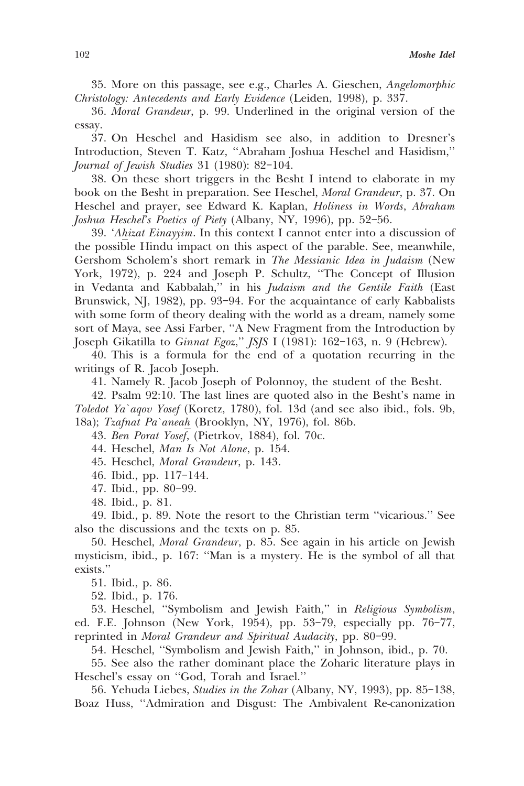35. More on this passage, see e.g., Charles A. Gieschen, Angelomorphic Christology: Antecedents and Early Evidence (Leiden, 1998), p. 337.

36. Moral Grandeur, p. 99. Underlined in the original version of the essay.

37. On Heschel and Hasidism see also, in addition to Dresner's Introduction, Steven T. Katz, ''Abraham Joshua Heschel and Hasidism,'' Journal of Jewish Studies 31 (1980): 82–104.

38. On these short triggers in the Besht I intend to elaborate in my book on the Besht in preparation. See Heschel, Moral Grandeur, p. 37. On Heschel and prayer, see Edward K. Kaplan, Holiness in Words, Abraham Joshua Heschel's Poetics of Piety (Albany, NY, 1996), pp. 52–56.

39. 'Ahizat Einayyim. In this context I cannot enter into a discussion of the possible Hindu impact on this aspect of the parable. See, meanwhile, Gershom Scholem's short remark in The Messianic Idea in Judaism (New York, 1972), p. 224 and Joseph P. Schultz, ''The Concept of Illusion in Vedanta and Kabbalah,'' in his Judaism and the Gentile Faith (East Brunswick, NJ, 1982), pp. 93–94. For the acquaintance of early Kabbalists with some form of theory dealing with the world as a dream, namely some sort of Maya, see Assi Farber, ''A New Fragment from the Introduction by Joseph Gikatilla to Ginnat Egoz," JSJS I (1981): 162-163, n. 9 (Hebrew).

40. This is a formula for the end of a quotation recurring in the writings of R. Jacob Joseph.

41. Namely R. Jacob Joseph of Polonnoy, the student of the Besht.

42. Psalm 92:10. The last lines are quoted also in the Besht's name in Toledot Ya`aqov Yosef (Koretz, 1780), fol. 13d (and see also ibid., fols. 9b, 18a); Tzafnat Pa`aneah (Brooklyn, NY, 1976), fol. 86b.

43. Ben Porat Yosef, (Pietrkov, 1884), fol. 70c.

44. Heschel, Man Is Not Alone, p. 154.

45. Heschel, Moral Grandeur, p. 143.

46. Ibid., pp. 117–144.

47. Ibid., pp. 80–99.

48. Ibid., p. 81.

49. Ibid., p. 89. Note the resort to the Christian term ''vicarious.'' See also the discussions and the texts on p. 85.

50. Heschel, Moral Grandeur, p. 85. See again in his article on Jewish mysticism, ibid., p. 167: ''Man is a mystery. He is the symbol of all that exists.''

51. Ibid., p. 86.

52. Ibid., p. 176.

53. Heschel, ''Symbolism and Jewish Faith,'' in Religious Symbolism, ed. F.E. Johnson (New York, 1954), pp. 53–79, especially pp. 76–77, reprinted in Moral Grandeur and Spiritual Audacity, pp. 80–99.

54. Heschel, ''Symbolism and Jewish Faith,'' in Johnson, ibid., p. 70.

55. See also the rather dominant place the Zoharic literature plays in Heschel's essay on ''God, Torah and Israel.''

56. Yehuda Liebes, Studies in the Zohar (Albany, NY, 1993), pp. 85–138, Boaz Huss, ''Admiration and Disgust: The Ambivalent Re-canonization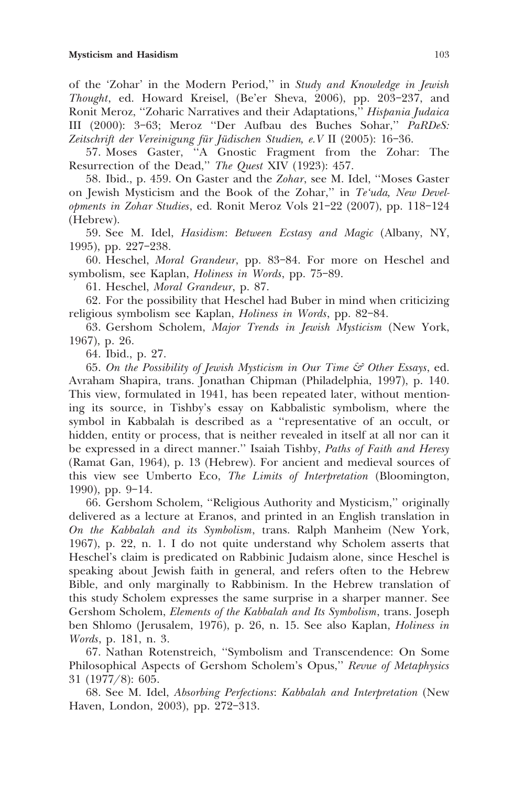of the 'Zohar' in the Modern Period,'' in Study and Knowledge in Jewish Thought, ed. Howard Kreisel, (Be'er Sheva, 2006), pp. 203–237, and Ronit Meroz, ''Zoharic Narratives and their Adaptations,'' Hispania Judaica III (2000): 3–63; Meroz ''Der Aufbau des Buches Sohar,'' PaRDeS: Zeitschrift der Vereinigung für Jüdischen Studien, e.V II (2005): 16-36.

57. Moses Gaster, ''A Gnostic Fragment from the Zohar: The Resurrection of the Dead,'' The Quest XIV (1923): 457.

58. Ibid., p. 459. On Gaster and the Zohar, see M. Idel, ''Moses Gaster on Jewish Mysticism and the Book of the Zohar,'' in Te'uda, New Developments in Zohar Studies, ed. Ronit Meroz Vols 21–22 (2007), pp. 118–124 (Hebrew).

59. See M. Idel, Hasidism: Between Ecstasy and Magic (Albany, NY, 1995), pp. 227–238.

60. Heschel, Moral Grandeur, pp. 83–84. For more on Heschel and symbolism, see Kaplan, Holiness in Words, pp. 75–89.

61. Heschel, Moral Grandeur, p. 87.

62. For the possibility that Heschel had Buber in mind when criticizing religious symbolism see Kaplan, Holiness in Words, pp. 82–84.

63. Gershom Scholem, Major Trends in Jewish Mysticism (New York, 1967), p. 26.

64. Ibid., p. 27.

65. On the Possibility of Jewish Mysticism in Our Time & Other Essays, ed. Avraham Shapira, trans. Jonathan Chipman (Philadelphia, 1997), p. 140. This view, formulated in 1941, has been repeated later, without mentioning its source, in Tishby's essay on Kabbalistic symbolism, where the symbol in Kabbalah is described as a ''representative of an occult, or hidden, entity or process, that is neither revealed in itself at all nor can it be expressed in a direct manner.'' Isaiah Tishby, Paths of Faith and Heresy (Ramat Gan, 1964), p. 13 (Hebrew). For ancient and medieval sources of this view see Umberto Eco, The Limits of Interpretation (Bloomington, 1990), pp. 9–14.

66. Gershom Scholem, ''Religious Authority and Mysticism,'' originally delivered as a lecture at Eranos, and printed in an English translation in On the Kabbalah and its Symbolism, trans. Ralph Manheim (New York, 1967), p. 22, n. 1. I do not quite understand why Scholem asserts that Heschel's claim is predicated on Rabbinic Judaism alone, since Heschel is speaking about Jewish faith in general, and refers often to the Hebrew Bible, and only marginally to Rabbinism. In the Hebrew translation of this study Scholem expresses the same surprise in a sharper manner. See Gershom Scholem, Elements of the Kabbalah and Its Symbolism, trans. Joseph ben Shlomo (Jerusalem, 1976), p. 26, n. 15. See also Kaplan, Holiness in Words, p. 181, n. 3.

67. Nathan Rotenstreich, ''Symbolism and Transcendence: On Some Philosophical Aspects of Gershom Scholem's Opus," Revue of Metaphysics 31 (1977/8): 605.

68. See M. Idel, Absorbing Perfections: Kabbalah and Interpretation (New Haven, London, 2003), pp. 272–313.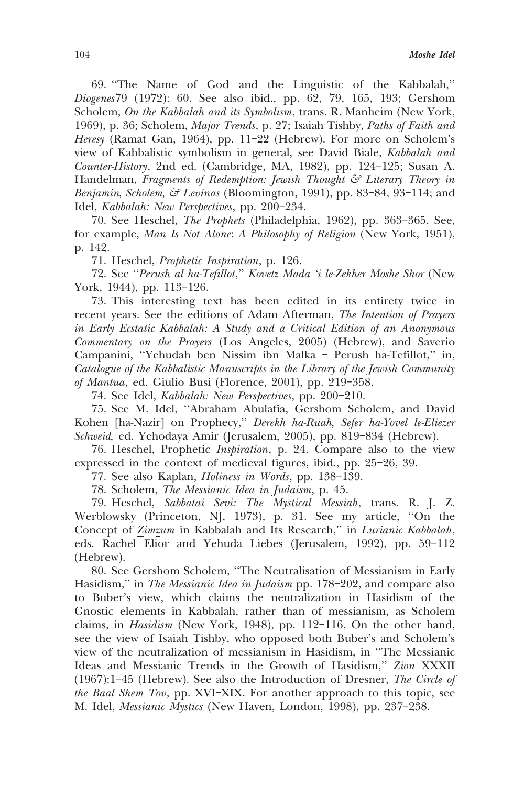69. ''The Name of God and the Linguistic of the Kabbalah,'' Diogenes79 (1972): 60. See also ibid., pp. 62, 79, 165, 193; Gershom Scholem, On the Kabbalah and its Symbolism, trans. R. Manheim (New York, 1969), p. 36; Scholem, Major Trends, p. 27; Isaiah Tishby, Paths of Faith and Heresy (Ramat Gan, 1964), pp. 11–22 (Hebrew). For more on Scholem's view of Kabbalistic symbolism in general, see David Biale, Kabbalah and Counter-History, 2nd ed. (Cambridge, MA, 1982), pp. 124–125; Susan A. Handelman, Fragments of Redemption: Jewish Thought & Literary Theory in Benjamin, Scholem, & Levinas (Bloomington, 1991), pp. 83-84, 93-114; and Idel, Kabbalah: New Perspectives, pp. 200–234.

70. See Heschel, The Prophets (Philadelphia, 1962), pp. 363–365. See, for example, Man Is Not Alone: A Philosophy of Religion (New York, 1951), p. 142.

71. Heschel, Prophetic Inspiration, p. 126.

72. See ''Perush al ha-Tefillot,'' Kovetz Mada 'i le-Zekher Moshe Shor (New York, 1944), pp. 113–126.

73. This interesting text has been edited in its entirety twice in recent years. See the editions of Adam Afterman, The Intention of Prayers in Early Ecstatic Kabbalah: A Study and a Critical Edition of an Anonymous Commentary on the Prayers (Los Angeles, 2005) (Hebrew), and Saverio Campanini, ''Yehudah ben Nissim ibn Malka – Perush ha-Tefillot,'' in, Catalogue of the Kabbalistic Manuscripts in the Library of the Jewish Community of Mantua, ed. Giulio Busi (Florence, 2001), pp. 219–358.

74. See Idel, Kabbalah: New Perspectives, pp. 200-210.

75. See M. Idel, ''Abraham Abulafia, Gershom Scholem, and David Kohen [ha-Nazir] on Prophecy," Derekh ha-Ruah, Sefer ha-Yovel le-Eliezer Schweid, ed. Yehodaya Amir (Jerusalem, 2005), pp. 819–834 (Hebrew).

76. Heschel, Prophetic Inspiration, p. 24. Compare also to the view expressed in the context of medieval figures, ibid., pp. 25–26, 39.

77. See also Kaplan, Holiness in Words, pp. 138–139.

78. Scholem, The Messianic Idea in Judaism, p. 45.

79. Heschel, Sabbatai Sevi: The Mystical Messiah, trans. R. J. Z. Werblowsky (Princeton, NJ, 1973), p. 31. See my article, ''On the Concept of Zimzum in Kabbalah and Its Research,'' in Lurianic Kabbalah, eds. Rachel Elior and Yehuda Liebes (Jerusalem, 1992), pp. 59–112 (Hebrew).

80. See Gershom Scholem, ''The Neutralisation of Messianism in Early Hasidism," in *The Messianic Idea in Judaism* pp. 178-202, and compare also to Buber's view, which claims the neutralization in Hasidism of the Gnostic elements in Kabbalah, rather than of messianism, as Scholem claims, in Hasidism (New York, 1948), pp. 112–116. On the other hand, see the view of Isaiah Tishby, who opposed both Buber's and Scholem's view of the neutralization of messianism in Hasidism, in ''The Messianic Ideas and Messianic Trends in the Growth of Hasidism,'' Zion XXXII (1967):1–45 (Hebrew). See also the Introduction of Dresner, The Circle of the Baal Shem Tov, pp. XVI–XIX. For another approach to this topic, see M. Idel, Messianic Mystics (New Haven, London, 1998), pp. 237–238.